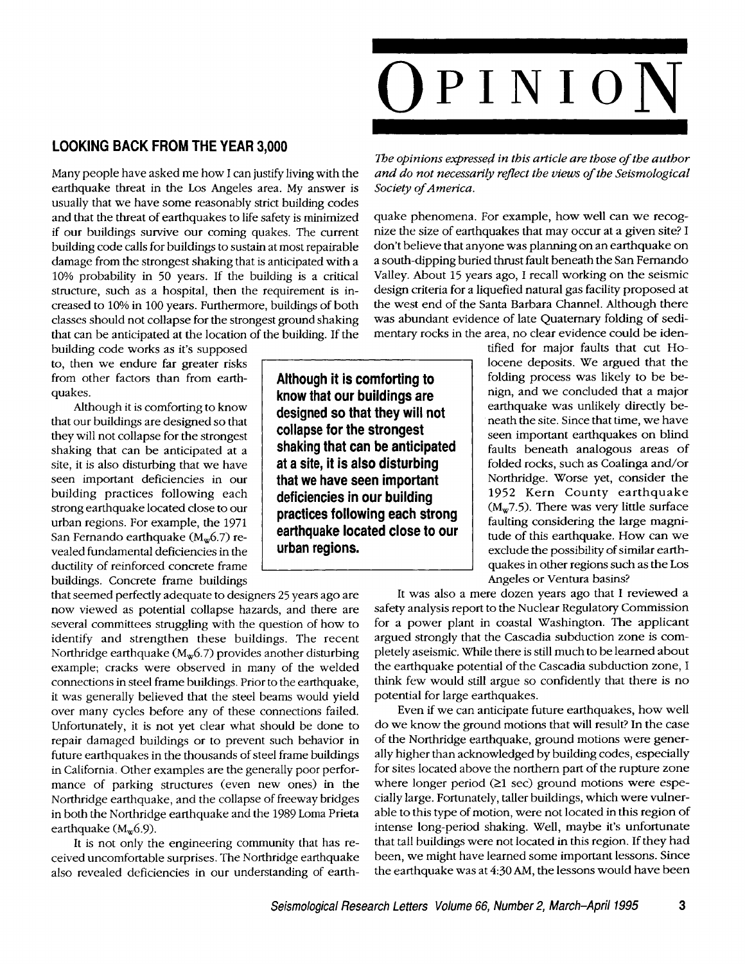## **LOOKING BACK FROM THE YEAR 3,000**

Many people have asked me how I can justify living with the earthquake threat in the Los Angeles area. My answer is usually that we have some reasonably strict building codes and that the threat of earthquakes to life safety is minimized if our buildings survive our coming quakes. The current building code calls for buildings to sustain at most repairable damage from the strongest shaking that is anticipated with a 10% probability in 50 years. If the building is a critical structure, such as a hospital, then the requirement is increased to 10% in 100 years. Furthermore, buildings of both classes should not collapse for the strongest ground shaking that can be anticipated at the location of the building. If the

building code works as it's supposed to, then we endure far greater risks from other factors than from earthquakes.

Although it is comforting to know that our buildings are designed so that they will not collapse for the strongest shaking that can be anticipated at a site, it is also disturbing that we have seen important deficiencies in our building practices following each strong earthquake located close to our urban regions. For example, the 1971 San Fernando earthquake  $(M_w 6.7)$  revealed fundamental deficiencies in the ductility of reinforced concrete frame buildings. Concrete frame buildings

that seemed perfectly adequate to designers 25 years ago are now viewed as potential collapse hazards, and there are several committees struggling with the question of how to identify and strengthen these buildings. The recent Northridge earthquake ( $M_w$ 6.7) provides another disturbing example; cracks were observed in many of the welded connections in steel frame buildings. Prior to the earthquake, it was generally believed that the steel beams would yield over many cycles before any of these connections failed. Unfortunately, it is not yet clear what should be done to repair damaged buildings or to prevent such behavior in future earthquakes in the thousands of steel frame buildings in California. Other examples are the generally poor performance of parking structures (even new ones) in the Northridge earthquake, and the collapse of freeway bridges in both the Northridge earthquake and the 1989 Loma Prieta earthquake  $(M_w 6.9)$ .

It is not only the engineering community that has received uncomfortable surprises. The Northridge earthquake also revealed deficiencies in our understanding of earth-

*The opinions expressed in this article are those of the author and do not necessarily reflect the views of the Seismological Society of America.* 

quake phenomena. For example, how well can we recognize the size of earthquakes that may occur at a given site? I don't believe that anyone was planning on an earthquake on a south-dipping buried thrust fault beneath the San Femando Valley. About 15 years ago, I recall working on the seismic design criteria for a liquefied natural gas facility proposed at the west end of the Santa Barbara Channel. Although there was abundant evidence of late Quaternary folding of sedimentary rocks in the area, no clear evidence could be iden-

> tified for major faults that cut Holocene deposits. We argued that the folding process was likely to be benign, and we concluded that a major earthquake was unlikely directly beneath the site. Since that time, we have seen important earthquakes on blind faults beneath analogous areas of folded rocks, such as Coalinga and/or Northridge. Worse yet, consider the 1952 Kern County earthquake  $(M_w 7.5)$ . There was very little surface faulting considering the large magnitude of this earthquake. How can we exdude the possibility of similar earthquakes in other regions such as the Los Angeles or Ventura basins?

It was also a mere dozen years ago that I reviewed a safety analysis report to the Nuclear Regulatory Commission for a power plant in coastal Washington. The applicant argued strongly that the Cascadia subduction zone is completely aseismic. While there is still much to be learned about the earthquake potential of the Cascadia subduction zone, I think few would still argue so confidently that there is no potential for large earthquakes.

Even if we can anticipate future earthquakes, how well do we know the ground motions that will result? In the case of the Northridge earthquake, ground motions were generally higher than acknowledged by building codes, especially for sites located above the northern part of the rupture zone where longer period  $(≥1 sec)$  ground motions were especially large. Fortunately, taller buildings, which were vulnerable to this type of motion, were not located in this region of intense long-period shaking. Well, maybe it's unfortunate that tall buildings were not located in this region. If they had been, we might have learned some important lessons. Since the earthquake was at 4:30 AM, the lessons would have been

**Although it is comforting to know that our buildings are designed so that they will not collapse for the strongest shaking that can be anticipated at a site, it is also disturbing that we have seen important deficiencies in our building practices following each strong earthquake located close to our urban regions.**